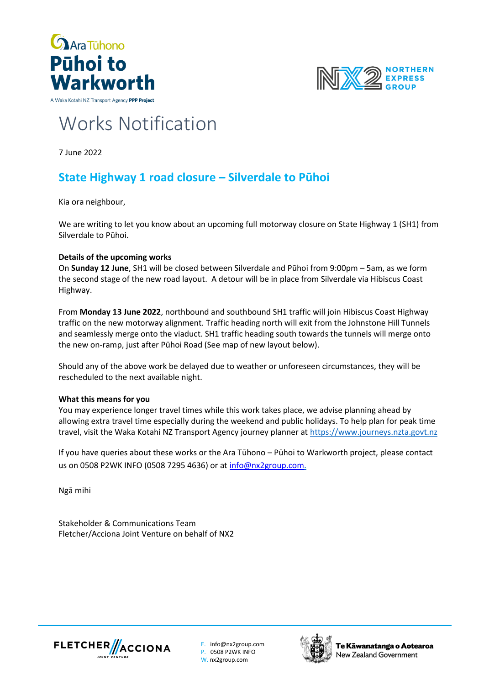





# Works Notification

7 June 2022

## **State Highway 1 road closure – Silverdale to Pūhoi**

Kia ora neighbour,

We are writing to let you know about an upcoming full motorway closure on State Highway 1 (SH1) from Silverdale to Pūhoi.

#### **Details of the upcoming works**

On **Sunday 12 June**, SH1 will be closed between Silverdale and Pūhoi from 9:00pm – 5am, as we form the second stage of the new road layout. A detour will be in place from Silverdale via Hibiscus Coast Highway.

From **Monday 13 June 2022**, northbound and southbound SH1 traffic will join Hibiscus Coast Highway traffic on the new motorway alignment. Traffic heading north will exit from the Johnstone Hill Tunnels and seamlessly merge onto the viaduct. SH1 traffic heading south towards the tunnels will merge onto the new on-ramp, just after Pūhoi Road (See map of new layout below).

Should any of the above work be delayed due to weather or unforeseen circumstances, they will be rescheduled to the next available night.

#### **What this means for you**

You may experience longer travel times while this work takes place, we advise planning ahead by allowing extra travel time especially during the weekend and public holidays. To help plan for peak time travel, visit the Waka Kotahi NZ Transport Agency journey planner at [https://www.journeys.nzta.govt.nz](https://www.journeys.nzta.govt.nz/)

If you have queries about these works or the Ara Tūhono – Pūhoi to Warkworth project, please contact us on 0508 P2WK INFO (0508 7295 4636) or at [info@nx2group.com.](mailto:info@nx2group.com)

Ngā mihi

Stakeholder & Communications Team Fletcher/Acciona Joint Venture on behalf of NX2



E. info@nx2group.com P. 0508 P2WK INFO W. nx2group.com